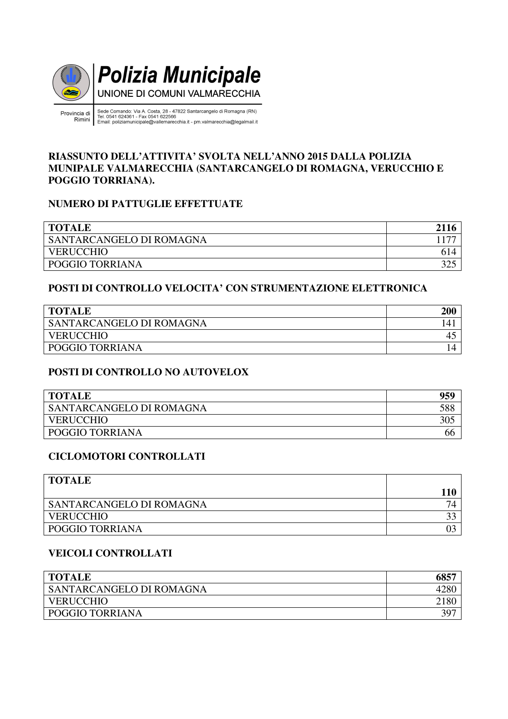

incia di<br>Tel. 0541 624361 - Fax 0541 622566<br>Rimini Email: poliziamunicipale@vallemarecchia.it - pm.valmarecchia@legalmail.it Provincia di

#### **RIASSUNTO DELL'ATTIVITA' SVOLTA NELL'ANNO 2015 DALLA POLIZIA MUNIPALE VALMARECCHIA (SANTARCANGELO DI ROMAGNA, VERUCCHIO E POGGIO TORRIANA).**

## **NUMERO DI PATTUGLIE EFFETTUATE**

| <b>TOTALE</b>            | 2116 |
|--------------------------|------|
| SANTARCANGELO DI ROMAGNA |      |
| <b>VERUCCHIO</b>         | 614  |
| POGGIO TORRIANA          | 325  |

#### **POSTI DI CONTROLLO VELOCITA' CON STRUMENTAZIONE ELETTRONICA**

| <b>TOTALE</b>            |    |
|--------------------------|----|
| SANTARCANGELO DI ROMAGNA | 14 |
| <b>VERUCCHIO</b>         | ∸  |
| POGGIO TORRIANA          | 4  |

## **POSTI DI CONTROLLO NO AUTOVELOX**

| <b>TOTALE</b>            | 959 |
|--------------------------|-----|
| SANTARCANGELO DI ROMAGNA | 588 |
| <b>VERUCCHIO</b>         | 305 |
| POGGIO TORRIANA          | oo  |

#### **CICLOMOTORI CONTROLLATI**

| <b>TOTALE</b>            |  |
|--------------------------|--|
|                          |  |
| SANTARCANGELO DI ROMAGNA |  |
| <b>VERUCCHIO</b>         |  |
| <b>POGGIO TORRIANA</b>   |  |

#### **VEICOLI CONTROLLATI**

| <b>TOTALE</b>                   | 60 E F<br>ററാ |
|---------------------------------|---------------|
| <b>SANTARCANGELO DI ROMAGNA</b> |               |
| VERUCCHIO                       | 2180          |
| POGGIO TORRIANA                 | 397           |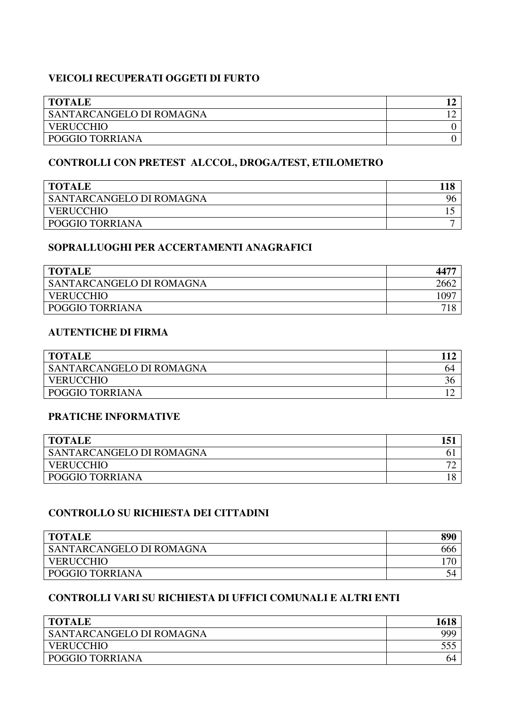## **VEICOLI RECUPERATI OGGETI DI FURTO**

| <b>TOTALE</b>            |  |
|--------------------------|--|
| SANTARCANGELO DI ROMAGNA |  |
| <b>VERUCCHIO</b>         |  |
| POGGIO TORRIANA          |  |

# **CONTROLLI CON PRETEST ALCCOL, DROGA/TEST, ETILOMETRO**

| <b>TOTALE</b>            |  |
|--------------------------|--|
| SANTARCANGELO DI ROMAGNA |  |
| <b>VERUCCHIO</b>         |  |
| POGGIO TORRIANA          |  |

#### **SOPRALLUOGHI PER ACCERTAMENTI ANAGRAFICI**

| <b>TOTALE</b>                   |      |
|---------------------------------|------|
| <b>SANTARCANGELO DI ROMAGNA</b> | 2662 |
| <b>VERUCCHIO</b>                | .097 |
| POGGIO TORRIANA                 |      |

#### **AUTENTICHE DI FIRMA**

| <b>TOTALE</b>            |    |
|--------------------------|----|
| SANTARCANGELO DI ROMAGNA | 04 |
| <b>VERUCCHIO</b>         | 36 |
| POGGIO TORRIANA          |    |

## **PRATICHE INFORMATIVE**

| <b>TOTALE</b>            |                          |
|--------------------------|--------------------------|
| SANTARCANGELO DI ROMAGNA |                          |
| <b>VERUCCHIO</b>         | $\overline{\phantom{a}}$ |
| POGGIO TORRIANA          |                          |

### **CONTROLLO SU RICHIESTA DEI CITTADINI**

| <b>TOTALE</b>            | 890 |
|--------------------------|-----|
| SANTARCANGELO DI ROMAGNA | 666 |
| <b>VERUCCHIO</b>         |     |
| <b>POGGIO TORRIANA</b>   | ℩╝  |

## **CONTROLLI VARI SU RICHIESTA DI UFFICI COMUNALI E ALTRI ENTI**

| <b>TOTALE</b>            |    |
|--------------------------|----|
| SANTARCANGELO DI ROMAGNA |    |
| VERUCCHIO                |    |
| <b>POGGIO TORRIANA</b>   | 04 |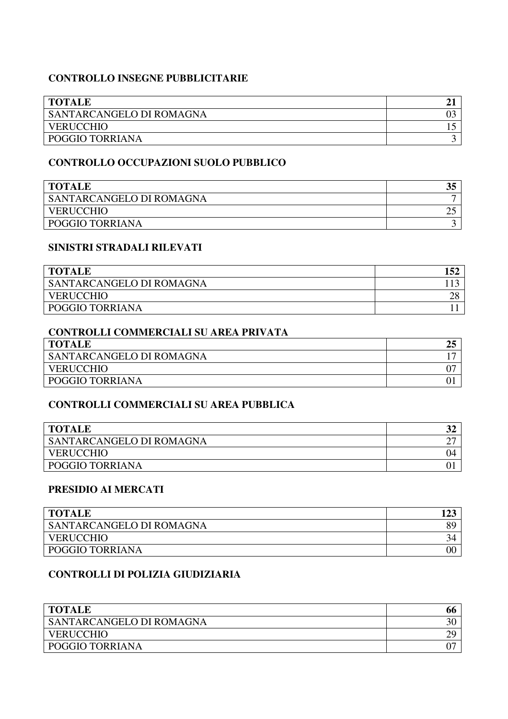### **CONTROLLO INSEGNE PUBBLICITARIE**

| <b>TOTALE</b>                   |  |
|---------------------------------|--|
| <b>SANTARCANGELO DI ROMAGNA</b> |  |
| <b>VERUCCHIO</b>                |  |
| <b>POGGIO TORRIANA</b>          |  |

#### **CONTROLLO OCCUPAZIONI SUOLO PUBBLICO**

| <b>TOTALE</b>            | J. |
|--------------------------|----|
| SANTARCANGELO DI ROMAGNA |    |
| <b>VERUCCHIO</b>         |    |
| POGGIO TORRIANA          |    |

#### **SINISTRI STRADALI RILEVATI**

| <b>TOTALE</b>            |  |
|--------------------------|--|
| SANTARCANGELO DI ROMAGNA |  |
| <b>VERUCCHIO</b>         |  |
| <b>POGGIO TORRIANA</b>   |  |

#### **CONTROLLI COMMERCIALI SU AREA PRIVATA**

| <b>TOTALE</b>            |  |
|--------------------------|--|
| SANTARCANGELO DI ROMAGNA |  |
| <b>VERUCCHIO</b>         |  |
| POGGIO TORRIANA          |  |

#### **CONTROLLI COMMERCIALI SU AREA PUBBLICA**

| <b>TOTALE</b>            |   |
|--------------------------|---|
| SANTARCANGELO DI ROMAGNA | ∸ |
| <b>VERUCCHIO</b>         |   |
| POGGIO TORRIANA          |   |

#### **PRESIDIO AI MERCATI**

| <b>TOTALE</b>            |  |
|--------------------------|--|
| SANTARCANGELO DI ROMAGNA |  |
| <b>VERUCCHIO</b>         |  |
| <b>POGGIO TORRIANA</b>   |  |

### **CONTROLLI DI POLIZIA GIUDIZIARIA**

| <b>TOTALE</b>                   | ot |
|---------------------------------|----|
| <b>SANTARCANGELO DI ROMAGNA</b> |    |
| <b>VERUCCHIO</b>                |    |
| <b>POGGIO TORRIANA</b>          |    |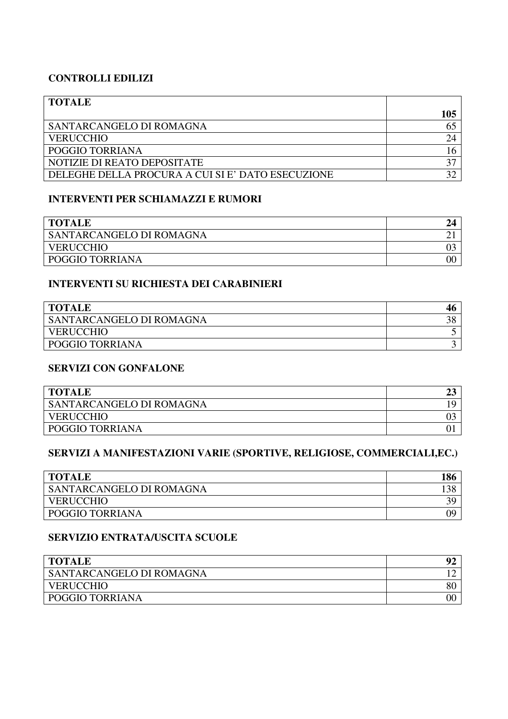#### **CONTROLLI EDILIZI**

| <b>TOTALE</b>                                     |     |
|---------------------------------------------------|-----|
|                                                   | 105 |
| SANTARCANGELO DI ROMAGNA                          |     |
| <b>VERUCCHIO</b>                                  | 24  |
| POGGIO TORRIANA                                   |     |
| NOTIZIE DI REATO DEPOSITATE                       |     |
| DELEGHE DELLA PROCURA A CUI SI E' DATO ESECUZIONE |     |

#### **INTERVENTI PER SCHIAMAZZI E RUMORI**

| <b>TOTALE</b>            |    |
|--------------------------|----|
| SANTARCANGELO DI ROMAGNA | ◢  |
| <b>VERUCCHIO</b>         |    |
| POGGIO TORRIANA          | 0C |

#### **INTERVENTI SU RICHIESTA DEI CARABINIERI**

| <b>TOTALE</b>            |  |
|--------------------------|--|
| SANTARCANGELO DI ROMAGNA |  |
| <b>VERUCCHIO</b>         |  |
| POGGIO TORRIANA          |  |

#### **SERVIZI CON GONFALONE**

| <b>TOTALE</b>            |  |
|--------------------------|--|
| SANTARCANGELO DI ROMAGNA |  |
| <b>VERUCCHIO</b>         |  |
| POGGIO TORRIANA          |  |

## **SERVIZI A MANIFESTAZIONI VARIE (SPORTIVE, RELIGIOSE, COMMERCIALI,EC.)**

| <b>TOTALE</b>            |    |
|--------------------------|----|
| SANTARCANGELO DI ROMAGNA |    |
| <b>VERUCCHIO</b>         |    |
| POGGIO TORRIANA          | O9 |

### **SERVIZIO ENTRATA/USCITA SCUOLE**

| <b>TOTALE</b>                   |  |
|---------------------------------|--|
| <b>SANTARCANGELO DI ROMAGNA</b> |  |
| <b>VERUCCHIO</b>                |  |
| <b>POGGIO TORRIANA</b>          |  |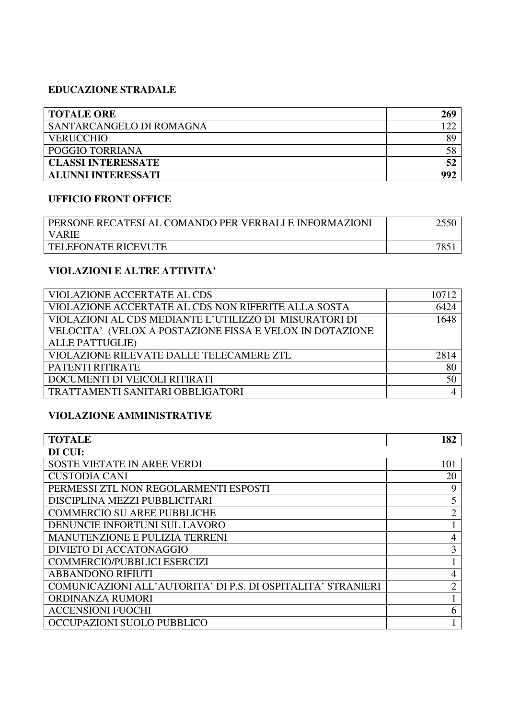## **EDUCAZIONE STRADALE**

| <b>TOTALE ORE</b>         | 269  |
|---------------------------|------|
| SANTARCANGELO DI ROMAGNA  | ר רו |
| <b>VERUCCHIO</b>          | 89   |
| POGGIO TORRIANA           | 58   |
| <b>CLASSI INTERESSATE</b> | 52   |
| <b>ALUNNI INTERESSATI</b> | 992  |

# **UFFICIO FRONT OFFICE**

| PERSONE RECATESI AL COMANDO PER VERBALI E INFORMAZIONI |  |
|--------------------------------------------------------|--|
| I VARIE                                                |  |
| TELEFONATE RICEVUTE                                    |  |

# **VIOLAZIONI E ALTRE ATTIVITA'**

| <b>VIOLAZIONE ACCERTATE AL CDS</b>                       | 10712 |
|----------------------------------------------------------|-------|
| VIOLAZIONE ACCERTATE AL CDS NON RIFERITE ALLA SOSTA      | 6424  |
| VIOLAZIONI AL CDS MEDIANTE L'UTILIZZO DI MISURATORI DI   | 1648  |
| VELOCITA' (VELOX A POSTAZIONE FISSA E VELOX IN DOTAZIONE |       |
| <b>ALLE PATTUGLIE)</b>                                   |       |
| VIOLAZIONE RILEVATE DALLE TELECAMERE ZTL                 | 2814  |
| <b>PATENTI RITIRATE</b>                                  | 80    |
| DOCUMENTI DI VEICOLI RITIRATI                            | 50    |
| TRATTAMENTI SANITARI OBBLIGATORI                         |       |

## **VIOLAZIONE AMMINISTRATIVE**

| <b>TOTALE</b>                                                | 182            |
|--------------------------------------------------------------|----------------|
| DI CUI:                                                      |                |
| <b>SOSTE VIETATE IN AREE VERDI</b>                           | 101            |
| <b>CUSTODIA CANI</b>                                         | 20             |
| PERMESSI ZTL NON REGOLARMENTI ESPOSTI                        | 9              |
| DISCIPLINA MEZZI PUBBLICITARI                                | 5              |
| <b>COMMERCIO SU AREE PUBBLICHE</b>                           | $\overline{2}$ |
| DENUNCIE INFORTUNI SUL LAVORO                                |                |
| <b>MANUTENZIONE E PULIZIA TERRENI</b>                        | 4              |
| DIVIETO DI ACCATONAGGIO                                      | 3              |
| <b>COMMERCIO/PUBBLICI ESERCIZI</b>                           |                |
| <b>ABBANDONO RIFIUTI</b>                                     | 4              |
| COMUNICAZIONI ALL'AUTORITA' DI P.S. DI OSPITALITA' STRANIERI | $\overline{2}$ |
| ORDINANZA RUMORI                                             |                |
| <b>ACCENSIONI FUOCHI</b>                                     | 6              |
| OCCUPAZIONI SUOLO PUBBLICO                                   |                |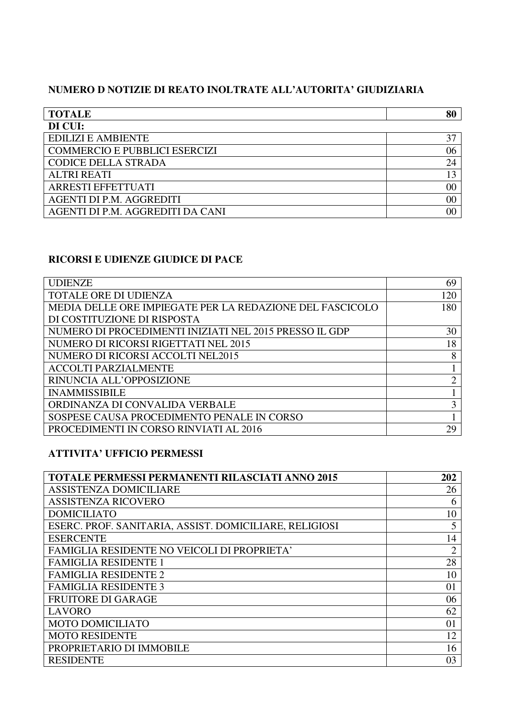# **NUMERO D NOTIZIE DI REATO INOLTRATE ALL'AUTORITA' GIUDIZIARIA**

| <b>TOTALE</b>                        | 80             |
|--------------------------------------|----------------|
| DI CUI:                              |                |
| <b>EDILIZI E AMBIENTE</b>            | 37             |
| <b>COMMERCIO E PUBBLICI ESERCIZI</b> | 06             |
| <b>CODICE DELLA STRADA</b>           | 24             |
| <b>ALTRI REATI</b>                   | 13             |
| <b>ARRESTI EFFETTUATI</b>            | 00             |
| AGENTI DI P.M. AGGREDITI             | 00             |
| AGENTI DI P.M. AGGREDITI DA CANI     | 0 <sup>0</sup> |

# **RICORSI E UDIENZE GIUDICE DI PACE**

| <b>UDIENZE</b>                                           | 69  |
|----------------------------------------------------------|-----|
| <b>TOTALE ORE DI UDIENZA</b>                             | 120 |
| MEDIA DELLE ORE IMPIEGATE PER LA REDAZIONE DEL FASCICOLO | 180 |
| DI COSTITUZIONE DI RISPOSTA                              |     |
| NUMERO DI PROCEDIMENTI INIZIATI NEL 2015 PRESSO IL GDP   | 30  |
| NUMERO DI RICORSI RIGETTATI NEL 2015                     | 18  |
| NUMERO DI RICORSI ACCOLTI NEL2015                        | 8   |
| <b>ACCOLTI PARZIALMENTE</b>                              |     |
| RINUNCIA ALL'OPPOSIZIONE                                 | ◠   |
| <b>INAMMISSIBILE</b>                                     |     |
| ORDINANZA DI CONVALIDA VERBALE                           | 3   |
| SOSPESE CAUSA PROCEDIMENTO PENALE IN CORSO               |     |
| PROCEDIMENTI IN CORSO RINVIATI AL 2016                   | 29  |

# **ATTIVITA' UFFICIO PERMESSI**

| <b>TOTALE PERMESSI PERMANENTI RILASCIATI ANNO 2015</b> | 202            |
|--------------------------------------------------------|----------------|
| <b>ASSISTENZA DOMICILIARE</b>                          | 26             |
| <b>ASSISTENZA RICOVERO</b>                             | 6              |
| <b>DOMICILIATO</b>                                     | 10             |
| ESERC. PROF. SANITARIA, ASSIST. DOMICILIARE, RELIGIOSI | 5              |
| <b>ESERCENTE</b>                                       | 14             |
| <b>FAMIGLIA RESIDENTE NO VEICOLI DI PROPRIETA'</b>     | $\overline{2}$ |
| <b>FAMIGLIA RESIDENTE 1</b>                            | 28             |
| <b>FAMIGLIA RESIDENTE 2</b>                            | 10             |
| <b>FAMIGLIA RESIDENTE 3</b>                            | 01             |
| <b>FRUITORE DI GARAGE</b>                              | 06             |
| <b>LAVORO</b>                                          | 62             |
| <b>MOTO DOMICILIATO</b>                                | 01             |
| <b>MOTO RESIDENTE</b>                                  | 12             |
| PROPRIETARIO DI IMMOBILE                               | 16             |
| <b>RESIDENTE</b>                                       | 03             |